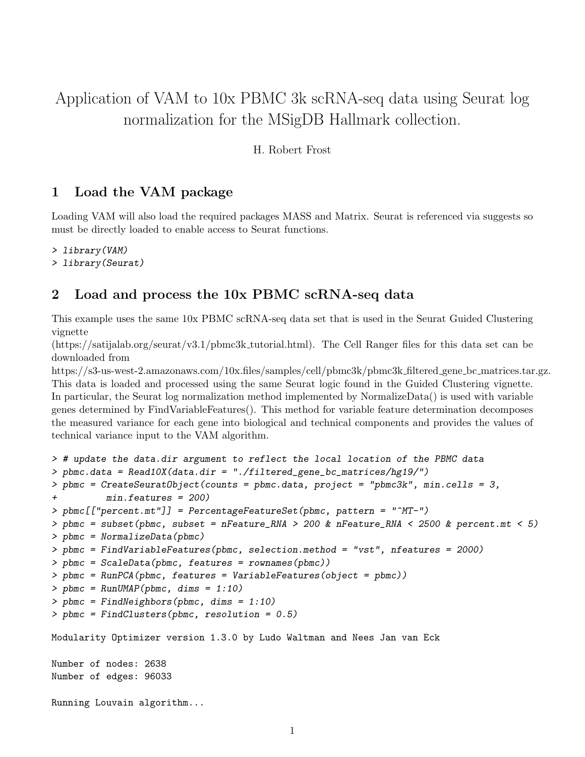# Application of VAM to 10x PBMC 3k scRNA-seq data using Seurat log normalization for the MSigDB Hallmark collection.

H. Robert Frost

#### 1 Load the VAM package

Loading VAM will also load the required packages MASS and Matrix. Seurat is referenced via suggests so must be directly loaded to enable access to Seurat functions.

```
> library(VAM)
```

```
> library(Seurat)
```
#### 2 Load and process the 10x PBMC scRNA-seq data

This example uses the same 10x PBMC scRNA-seq data set that is used in the Seurat Guided Clustering vignette

(https://satijalab.org/seurat/v3.1/pbmc3k tutorial.html). The Cell Ranger files for this data set can be downloaded from

https://s3-us-west-2.amazonaws.com/10x.files/samples/cell/pbmc3k/pbmc3k filtered gene bc matrices.tar.gz. This data is loaded and processed using the same Seurat logic found in the Guided Clustering vignette. In particular, the Seurat log normalization method implemented by NormalizeData() is used with variable genes determined by FindVariableFeatures(). This method for variable feature determination decomposes the measured variance for each gene into biological and technical components and provides the values of technical variance input to the VAM algorithm.

```
> # update the data.dir argument to reflect the local location of the PBMC data
> pbmc.data = Read10X(data.dir = "./filtered_gene_bc_matrices/hg19/")
> pbmc = CreateSeuratObject(counts = pbmc.data, project = "pbmc3k", min.cells = 3,
+ min.features = 200)
> pbmc[["percent.mt"]] = PercentageFeatureSet(pbmc, pattern = "^MT-")
> pbmc = subset(pbmc, subset = nFeature_RNA > 200 & nFeature_RNA < 2500 & percent.mt < 5)
> pbmc = NormalizeData(pbmc)
> pbmc = FindVariableFeatures(pbmc, selection.method = "vst", nfeatures = 2000)
> pbmc = ScaleData(pbmc, features = rownames(pbmc))
> pbmc = RunPCA(pbmc, features = VariableFeatures(object = pbmc))
> pbmc = RunUMAP(pbmc, dims = 1:10)
> pbmc = FindNeighbors(pbmc, dims = 1:10)
> pbmc = FindClusters(pbmc, resolution = 0.5)
Modularity Optimizer version 1.3.0 by Ludo Waltman and Nees Jan van Eck
Number of nodes: 2638
Number of edges: 96033
Running Louvain algorithm...
```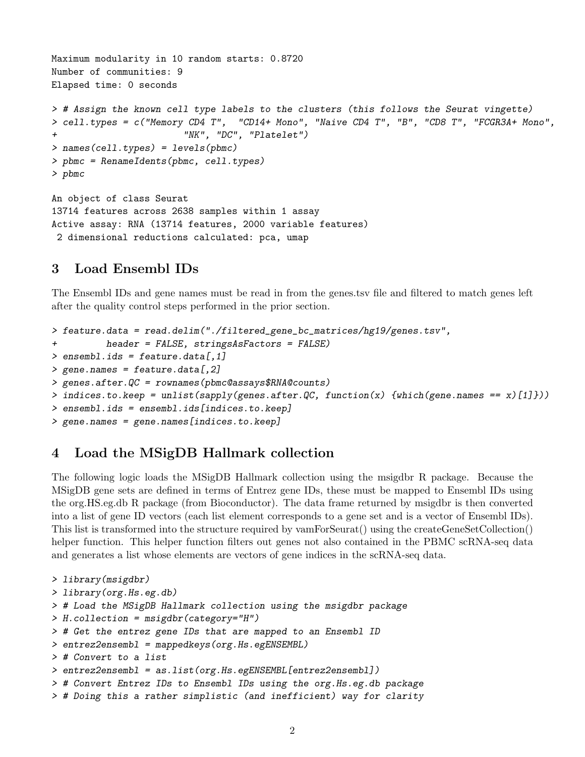```
Maximum modularity in 10 random starts: 0.8720
Number of communities: 9
Elapsed time: 0 seconds
> # Assign the known cell type labels to the clusters (this follows the Seurat vingette)
> cell.types = c("Memory CD4 T", "CD14+ Mono", "Naive CD4 T", "B", "CD8 T", "FCGR3A+ Mono",
                        "NK", "DC", "Platedet")> names(cell.types) = levels(pbmc)
> pbmc = RenameIdents(pbmc, cell.types)
> pbmc
An object of class Seurat
13714 features across 2638 samples within 1 assay
Active assay: RNA (13714 features, 2000 variable features)
 2 dimensional reductions calculated: pca, umap
```
#### 3 Load Ensembl IDs

The Ensembl IDs and gene names must be read in from the genes.tsv file and filtered to match genes left after the quality control steps performed in the prior section.

```
> feature.data = read.delim("./filtered_gene_bc_matrices/hg19/genes.tsv",
+ header = FALSE, stringsAsFactors = FALSE)
> ensembl.ids = feature.data[,1]
> gene.names = feature.data[,2]
> genes.after.QC = rownames(pbmc@assays$RNA@counts)
> indices.to.keep = unlist(sapply(genes.after.QC, function(x) {which(gene.names == x)[1]}))
> ensembl.ids = ensembl.ids[indices.to.keep]
> gene.names = gene.names[indices.to.keep]
```
#### 4 Load the MSigDB Hallmark collection

The following logic loads the MSigDB Hallmark collection using the msigdbr R package. Because the MSigDB gene sets are defined in terms of Entrez gene IDs, these must be mapped to Ensembl IDs using the org.HS.eg.db R package (from Bioconductor). The data frame returned by msigdbr is then converted into a list of gene ID vectors (each list element corresponds to a gene set and is a vector of Ensembl IDs). This list is transformed into the structure required by vamForSeurat() using the createGeneSetCollection() helper function. This helper function filters out genes not also contained in the PBMC scRNA-seq data and generates a list whose elements are vectors of gene indices in the scRNA-seq data.

```
> library(msigdbr)
> library(org.Hs.eg.db)
> # Load the MSigDB Hallmark collection using the msigdbr package
> H.collection = msigdbr(category="H")
> # Get the entrez gene IDs that are mapped to an Ensembl ID
> entrez2ensembl = mappedkeys(org.Hs.egENSEMBL)
> # Convert to a list
> entrez2ensembl = as.list(org.Hs.egENSEMBL[entrez2ensembl])
> # Convert Entrez IDs to Ensembl IDs using the org.Hs.eg.db package
> # Doing this a rather simplistic (and inefficient) way for clarity
```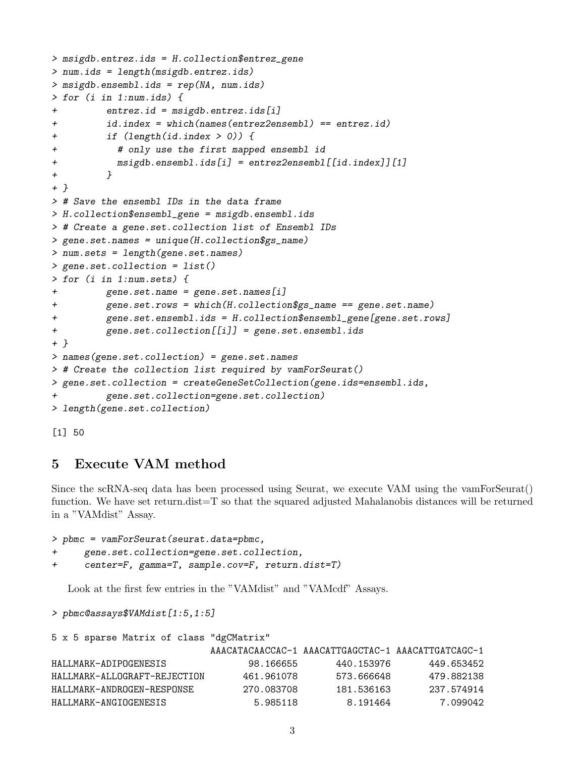```
> msigdb.entrez.ids = H.collection$entrez_gene
> num.ids = length(msigdb.entrez.ids)
> msigdb.ensembl.ids = rep(NA, num.ids)
> for (i in 1:num.ids) {
         entrez.id = msigdb.entrez.ids[i]+ id.index = which(names(entrez2ensembl) == entrez.id)
         if (length(id.index > 0)) {
           # only use the first mapped ensembl id
+ msigdb.ensembl.ids[i] = entrez2ensembl[[id.index]][1]
+ }
+ }
> # Save the ensembl IDs in the data frame
> H.collection$ensembl_gene = msigdb.ensembl.ids
> # Create a gene.set.collection list of Ensembl IDs
> gene.set.names = unique(H.collection$gs_name)
> num.sets = length(gene.set.names)
> gene.set.collection = list()
> for (i in 1:num.sets) {
         gene.set.name = gene.set.name[i]+ gene.set.rows = which(H.collection$gs_name == gene.set.name)
         + gene.set.ensembl.ids = H.collection$ensembl_gene[gene.set.rows]
+ gene.set.collection[[i]] = gene.set.ensembl.ids
+ }
> names(gene.set.collection) = gene.set.names
> # Create the collection list required by vamForSeurat()
> gene.set.collection = createGeneSetCollection(gene.ids=ensembl.ids,
         gene.set.collection=gene.set.collection)
> length(gene.set.collection)
```
[1] 50

## 5 Execute VAM method

Since the scRNA-seq data has been processed using Seurat, we execute VAM using the vamForSeurat() function. We have set return.dist=T so that the squared adjusted Mahalanobis distances will be returned in a "VAMdist" Assay.

```
> pbmc = vamForSeurat(seurat.data=pbmc,
+ gene.set.collection=gene.set.collection,
```

```
+ center=F, gamma=T, sample.cov=F, return.dist=T)
```
Look at the first few entries in the "VAMdist" and "VAMcdf" Assays.

```
> pbmc@assays$VAMdist[1:5,1:5]
```

| 5 x 5 sparse Matrix of class "dgCMatrix" |            |                                                    |            |
|------------------------------------------|------------|----------------------------------------------------|------------|
|                                          |            | AAACATACAACCAC-1 AAACATTGAGCTAC-1 AAACATTGATCAGC-1 |            |
| HALLMARK-ADIPOGENESIS                    | 98.166655  | 440.153976                                         | 449.653452 |
| HALLMARK-ALLOGRAFT-REJECTION             | 461.961078 | 573.666648                                         | 479.882138 |
| HALLMARK-ANDROGEN-RESPONSE               | 270.083708 | 181.536163                                         | 237.574914 |
| HALLMARK-ANGIOGENESIS                    | 5.985118   | 8.191464                                           | 7.099042   |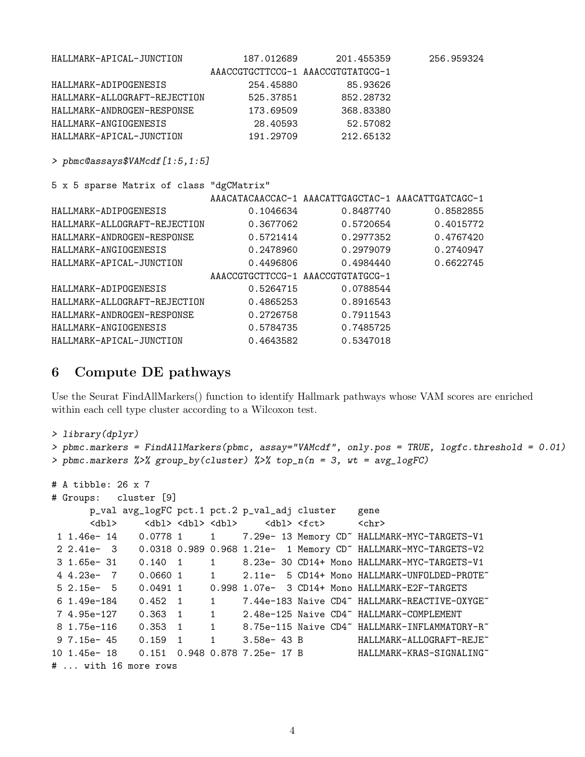| HALLMARK-APICAL-JUNCTION                 | 187.012689                        | 201.455359                                         | 256.959324 |
|------------------------------------------|-----------------------------------|----------------------------------------------------|------------|
|                                          | AAACCGTGCTTCCG-1 AAACCGTGTATGCG-1 |                                                    |            |
| HALLMARK-ADIPOGENESIS                    | 254.45880                         | 85.93626                                           |            |
| HALLMARK-ALLOGRAFT-REJECTION             | 525.37851                         | 852.28732                                          |            |
| HALLMARK-ANDROGEN-RESPONSE               | 173.69509                         | 368.83380                                          |            |
| HALLMARK-ANGIOGENESIS                    |                                   | 28.40593 52.57082                                  |            |
| HALLMARK-APICAL-JUNCTION                 | 191.29709                         | 212.65132                                          |            |
| > pbmc@assays\$VAMcdf [1:5,1:5]          |                                   |                                                    |            |
| 5 x 5 sparse Matrix of class "dgCMatrix" |                                   |                                                    |            |
|                                          |                                   | AAACATACAACCAC-1 AAACATTGAGCTAC-1 AAACATTGATCAGC-1 |            |
| HALLMARK-ADIPOGENESIS                    | 0.1046634                         | 0.8487740                                          | 0.8582855  |
| HALLMARK-ALLOGRAFT-REJECTION             | 0.3677062                         | 0.5720654                                          | 0.4015772  |
| HALLMARK-ANDROGEN-RESPONSE               | 0.5721414                         | 0.2977352                                          | 0.4767420  |
| HALLMARK-ANGIOGENESIS                    | 0.2478960                         | 0.2979079                                          | 0.2740947  |
| HALLMARK-APICAL-JUNCTION                 | 0.4496806                         | 0.4984440                                          | 0.6622745  |
|                                          | AAACCGTGCTTCCG-1 AAACCGTGTATGCG-1 |                                                    |            |
| HALLMARK-ADIPOGENESIS                    | 0.5264715                         | 0.0788544                                          |            |
| HALLMARK-ALLOGRAFT-REJECTION             | 0.4865253                         | 0.8916543                                          |            |
| HALLMARK-ANDROGEN-RESPONSE               | 0.2726758                         | 0.7911543                                          |            |
| HALLMARK-ANGIOGENESIS                    | 0.5784735                         | 0.7485725                                          |            |
| HALLMARK-APICAL-JUNCTION                 | 0.4643582                         | 0.5347018                                          |            |

## 6 Compute DE pathways

Use the Seurat FindAllMarkers() function to identify Hallmark pathways whose VAM scores are enriched within each cell type cluster according to a Wilcoxon test.

```
> library(dplyr)
> pbmc.markers = FindAllMarkers(pbmc, assay="VAMcdf", only.pos = TRUE, logfc.threshold = 0.01)
> pbmc.markers %>% group_by(cluster) %>% top_n(n = 3, wt = avg_logFC)
# A tibble: 26 x 7
# Groups: cluster [9]
      p_val avg_logFC pct.1 pct.2 p_val_adj cluster gene
      <dbl> <dbl> <dbl> <dbl> <dbl> <dbl> <fct> <chr>
1 1.46e- 14 0.0778 1 1 7.29e- 13 Memory CD~ HALLMARK-MYC-TARGETS-V1
2 2.41e- 3 0.0318 0.989 0.968 1.21e- 1 Memory CD~ HALLMARK-MYC-TARGETS-V2
3 1.65e- 31 0.140 1 1 8.23e- 30 CD14+ Mono HALLMARK-MYC-TARGETS-V1
4 4.23e- 7 0.0660 1 1 2.11e- 5 CD14+ Mono HALLMARK-UNFOLDED-PROTE~
5 2.15e- 5 0.0491 1 0.998 1.07e- 3 CD14+ Mono HALLMARK-E2F-TARGETS
6 1.49e-184 0.452 1 1 7.44e-183 Naive CD4~ HALLMARK-REACTIVE-OXYGE~
7 4.95e-127   0.363  1   1   2.48e-125 Naive CD4~ HALLMARK-COMPLEMENT
8 1.75e-116  0.353  1  1  8.75e-115  Naive CD4~ HALLMARK-INFLAMMATORY-R
9 7.15e- 45  0.159  1  1  3.58e- 43 B  HALLMARK-ALLOGRAFT-REJE<sup>~</sup>
10 1.45e- 18 0.151 0.948 0.878 7.25e- 17 B HALLMARK-KRAS-SIGNALING~
# ... with 16 more rows
```